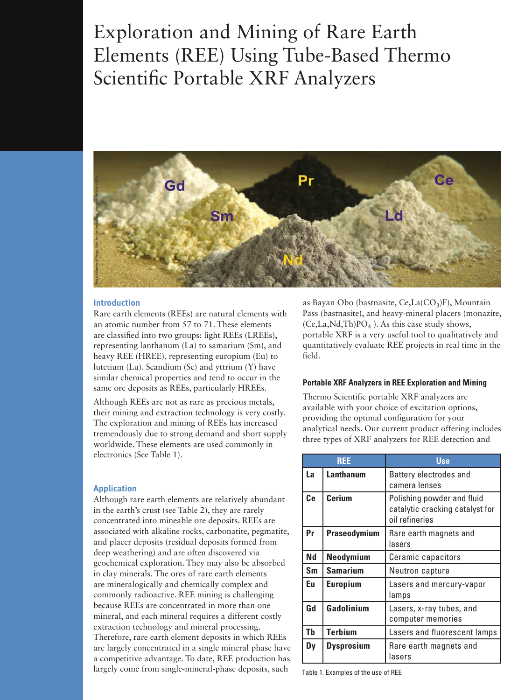# Exploration and Mining of Rare Earth Elements (REE) Using Tube-Based Thermo Scientific Portable XRF Analyzers



## **Introduction**

Rare earth elements (REEs) are natural elements with an atomic number from 57 to 71. These elements are classified into two groups: light REEs (LREEs), representing lanthanum (La) to samarium (Sm), and heavy REE (HREE), representing europium (Eu) to lutetium (Lu). Scandium (Sc) and yttrium (Y) have similar chemical properties and tend to occur in the same ore deposits as REEs, particularly HREEs.

Although REEs are not as rare as precious metals, their mining and extraction technology is very costly. The exploration and mining of REEs has increased tremendously due to strong demand and short supply worldwide. These elements are used commonly in electronics (See Table 1).

#### **Application**

Although rare earth elements are relatively abundant in the earth's crust (see Table 2), they are rarely concentrated into mineable ore deposits. REEs are associated with alkaline rocks, carbonatite, pegmatite, and placer deposits (residual deposits formed from deep weathering) and are often discovered via geochemical exploration. They may also be absorbed in clay minerals. The ores of rare earth elements are mineralogically and chemically complex and commonly radioactive. REE mining is challenging because REEs are concentrated in more than one mineral, and each mineral requires a different costly extraction technology and mineral processing. Therefore, rare earth element deposits in which REEs are largely concentrated in a single mineral phase have a competitive advantage. To date, REE production has largely come from single-mineral-phase deposits, such

as Bayan Obo (bastnasite,  $Ce, La(CO<sub>3</sub>)F$ ), Mountain Pass (bastnasite), and heavy-mineral placers (monazite,  $(Ce, La, Nd, Th)PO<sub>4</sub>$ . As this case study shows, portable XRF is a very useful tool to qualitatively and quantitatively evaluate REE projects in real time in the field.

#### **Portable XRF Analyzers in REE Exploration and Mining**

Thermo Scientific portable XRF analyzers are available with your choice of excitation options, providing the optimal configuration for your analytical needs. Our current product offering includes three types of XRF analyzers for REE detection and

| <b>REE</b> |                     | <b>Use</b>                                                                      |  |  |  |  |  |  |
|------------|---------------------|---------------------------------------------------------------------------------|--|--|--|--|--|--|
| La         | Lanthanum           | Battery electrodes and<br>camera lenses                                         |  |  |  |  |  |  |
| <b>Ce</b>  | <b>Cerium</b>       | Polishing powder and fluid<br>catalytic cracking catalyst for<br>oil refineries |  |  |  |  |  |  |
| Pr         | <b>Praseodymium</b> | Rare earth magnets and<br>lasers                                                |  |  |  |  |  |  |
| Nd         | <b>Neodymium</b>    | Ceramic capacitors                                                              |  |  |  |  |  |  |
| Sm         | <b>Samarium</b>     | Neutron capture                                                                 |  |  |  |  |  |  |
| Eu.        | <b>Europium</b>     | Lasers and mercury-vapor<br>lamps                                               |  |  |  |  |  |  |
| Gd         | Gadolinium          | Lasers, x-ray tubes, and<br>computer memories                                   |  |  |  |  |  |  |
| Th         | <b>Terbium</b>      | Lasers and fluorescent lamps                                                    |  |  |  |  |  |  |
| Dv         | <b>Dysprosium</b>   | Rare earth magnets and<br>lasers                                                |  |  |  |  |  |  |

Table 1. Examples of the use of REE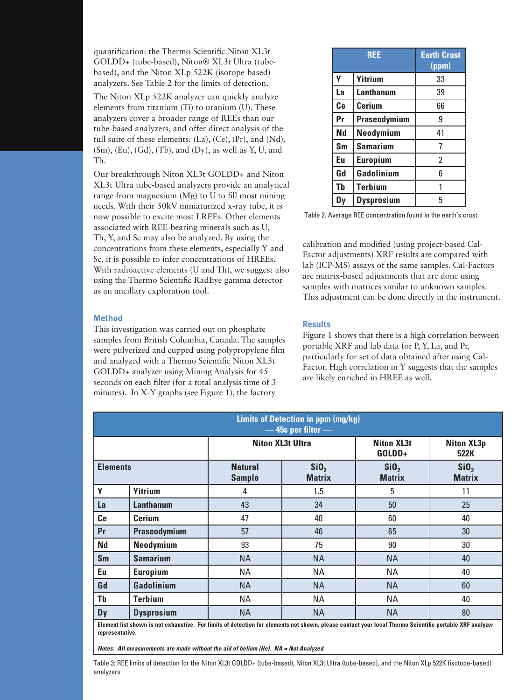quantification: the Thermo Scientific Niton XL3t GOLDD+ (tube-based), Niton® XL3t Ultra (tubebased), and the Niton XLp 522K (isotope-based) analyzers. See Table 2 for the limits of detection.

The Niton XLp 522K analyzer can quickly analyze elements from titanium (Ti) to uranium (U). These analyzers cover a broader range of REEs than our tube-based analyzers, and offer direct analysis of the full suite of these elements: (La), (Ce), (Pr), and (Nd),  $(Sm)$ ,  $(Eu)$ ,  $(Gd)$ ,  $(Tb)$ , and  $(Dy)$ , as well as Y, U, and Th.

Our breakthrough Niton XL3t GOLDD+ and Niton XL3t Ultra tube-based analyzers provide an analytical range from magnesium  $(Mg)$  to U to fill most mining needs. With their 50kV miniaturized x-ray tube, it is now possible to excite most LREEs. Other elements associated with REE-bearing minerals such as U, Th, Y, and Sc may also be analyzed. By using the concentrations from these elements, especially Y and Sc, it is possible to infer concentrations of HREEs. With radioactive elements (U and Th), we suggest also using the Thermo Scientific RadEye gamma detector as an ancillary exploration tool.

## **Method**

This investigation was carried out on phosphate samples from British Columbia, Canada. The samples were pulverized and cupped using polypropylene film and analyzed with a Thermo Scientific Niton XL3t GOLDD+ analyzer using Mining Analysis for 45 seconds on each filter (for a total analysis time of 3 minutes). In X-Y graphs (see Figure 1), the factory

|           | <b>REE</b>          | <b>Earth Crust</b><br>(ppm) |  |  |  |  |
|-----------|---------------------|-----------------------------|--|--|--|--|
| γ         | <b>Yitrium</b>      | 33                          |  |  |  |  |
| La        | Lanthanum           | 39                          |  |  |  |  |
| <b>Ce</b> | <b>Cerium</b>       | 66                          |  |  |  |  |
| Pr        | <b>Praseodymium</b> | 9                           |  |  |  |  |
| <b>Nd</b> | Neodymium           | 41                          |  |  |  |  |
| Sm        | <b>Samarium</b>     | 7                           |  |  |  |  |
| Eu        | <b>Europium</b>     | $\overline{2}$              |  |  |  |  |
| Gd        | Gadolinium          | 6                           |  |  |  |  |
| Tb        | <b>Terbium</b>      | 1                           |  |  |  |  |
| Dv        | <b>Dysprosium</b>   | 5                           |  |  |  |  |

Table 2. Average REE concentration found in the earth's crust.

calibration and modified (using project-based Cal-Factor adjustments) XRF results are compared with lab (ICP-MS) assays of the same samples. Cal-Factors are matrix-based adjustments that are done using samples with matrices similar to unknown samples. This adjustment can be done directly in the instrument.

## **Results**

Figure 1 shows that there is a high correlation between portable XRF and lab data for P, Y, La, and Pr, particularly for set of data obtained after using Cal-Factor. High correlation in Y suggests that the samples are likely enriched in HREE as well.

| <b>Limits of Detection in ppm (mg/kg)</b><br>$-45s$ per filter $-$ |                     |                                 |                                   |                                   |                                   |  |  |  |  |  |
|--------------------------------------------------------------------|---------------------|---------------------------------|-----------------------------------|-----------------------------------|-----------------------------------|--|--|--|--|--|
|                                                                    |                     |                                 | <b>Niton XL3t Ultra</b>           | <b>Niton XL3t</b><br>GOLDD+       | <b>Niton XL3p</b><br>522K         |  |  |  |  |  |
| <b>Elements</b>                                                    |                     | <b>Natural</b><br><b>Sample</b> | SiO <sub>2</sub><br><b>Matrix</b> | SiO <sub>2</sub><br><b>Matrix</b> | SiO <sub>2</sub><br><b>Matrix</b> |  |  |  |  |  |
| γ                                                                  | <b>Yitrium</b>      | 4                               | 1.5                               | 5                                 | 11                                |  |  |  |  |  |
| La                                                                 | <b>Lanthanum</b>    | 43                              | 34                                | 50                                | 25                                |  |  |  |  |  |
| <b>Ce</b>                                                          | <b>Cerium</b>       | 47                              | 40                                | 60                                | 40                                |  |  |  |  |  |
| Pr                                                                 | <b>Praseodymium</b> | 57                              | 46                                | 65                                | 30                                |  |  |  |  |  |
| <b>Nd</b>                                                          | Neodymium           | 93                              | 75                                | 90                                | 30                                |  |  |  |  |  |
| Sm                                                                 | <b>Samarium</b>     | <b>NA</b>                       | <b>NA</b>                         | <b>NA</b>                         | 40                                |  |  |  |  |  |
| Eu                                                                 | <b>Europium</b>     | ΝA                              | ΝA                                | ΝA                                | 40                                |  |  |  |  |  |
| Gd                                                                 | <b>Gadolinium</b>   | <b>NA</b>                       | <b>NA</b>                         | <b>NA</b>                         | 60                                |  |  |  |  |  |
| <b>Th</b>                                                          | <b>Terbium</b>      | ΝA                              | NА                                | ΝA                                | 40                                |  |  |  |  |  |
| <b>Dy</b>                                                          | <b>Dysprosium</b>   | <b>NA</b>                       | <b>NA</b>                         | <b>NA</b>                         | 80                                |  |  |  |  |  |

**Element list shown is not exhaustive. For limits of detection for elements not shown, please contact your local Thermo Scientific portable XRF analyzer representative.**

*Notes: All measurements are made without the aid of helium (He). NA = Not Analyzed.*

Table 3: REE limits of detection for the Niton XL3t GOLDD+ (tube-based), Niton XL3t Ultra (tube-based), and the Niton XLp 522K (isotope-based) analyzers.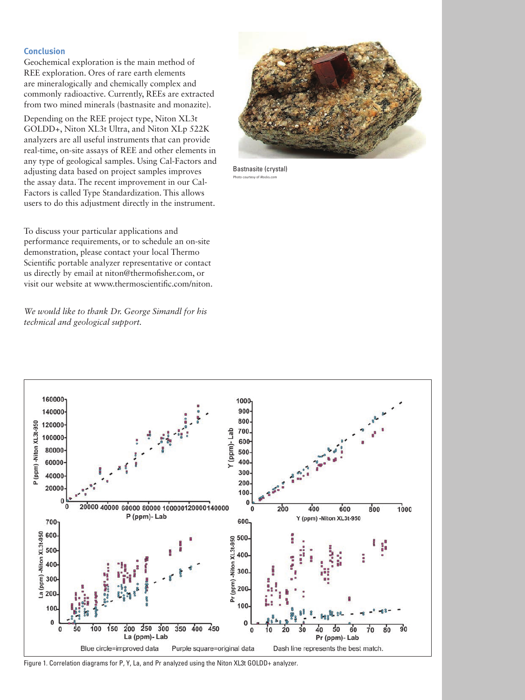## **Conclusion**

Geochemical exploration is the main method of REE exploration. Ores of rare earth elements are mineralogically and chemically complex and commonly radioactive. Currently, REEs are extracted from two mined minerals (bastnasite and monazite).

Depending on the REE project type, Niton XL3t GOLDD+, Niton XL3t Ultra, and Niton XLp 522K analyzers are all useful instruments that can provide real-time, on-site assays of REE and other elements in any type of geological samples. Using Cal-Factors and adjusting data based on project samples improves the assay data. The recent improvement in our Cal-Factors is called Type Standardization. This allows users to do this adjustment directly in the instrument.

To discuss your particular applications and performance requirements, or to schedule an on-site demonstration, please contact your local Thermo Scientific portable analyzer representative or contact us directly by email at niton@thermofisher.com, or visit our website at www.thermoscientific.com/niton.

*We would like to thank Dr. George Simandl for his technical and geological support.*



Bastnasite (crystal) Photo courtesy of iRocks.com



Figure 1. Correlation diagrams for P, Y, La, and Pr analyzed using the Niton XL3t GOLDD+ analyzer.